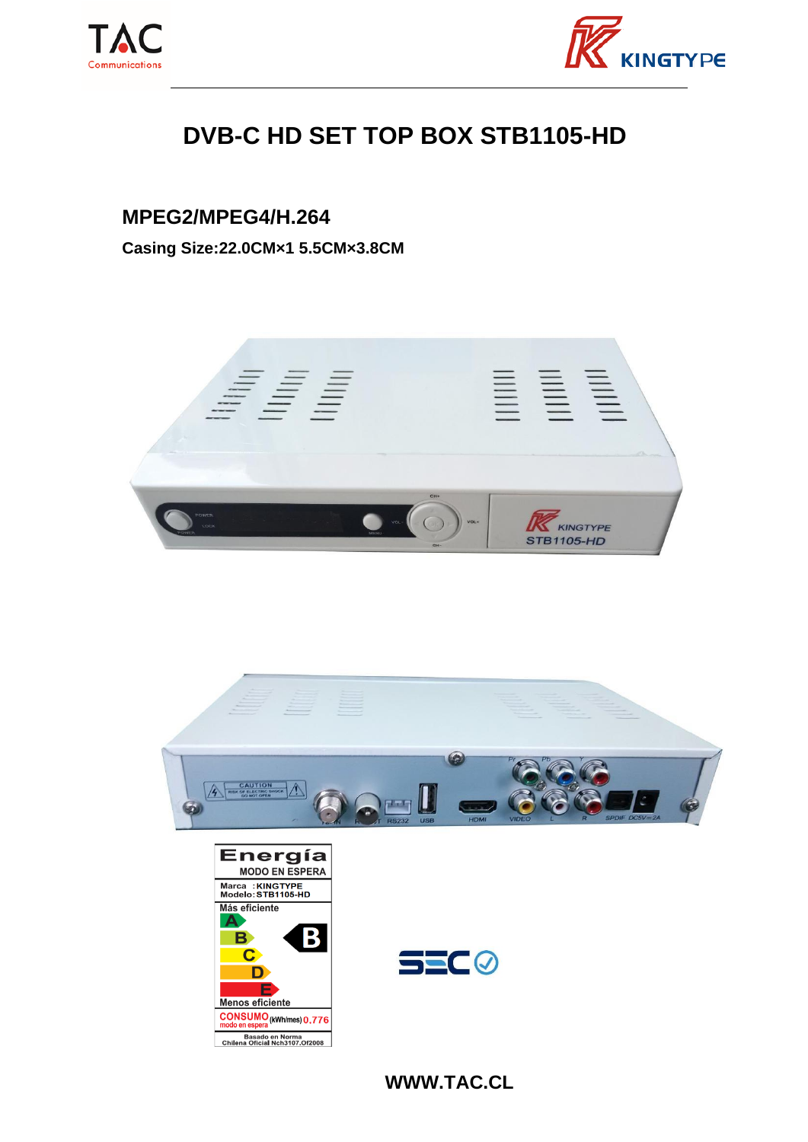



## **DVB-C HD SET TOP BOX STB1105-HD**

## **MPEG2/MPEG4/H.264**

**Casing Size:22.0CM×1 5.5CM×3.8CM**









**WWW.TAC.CL**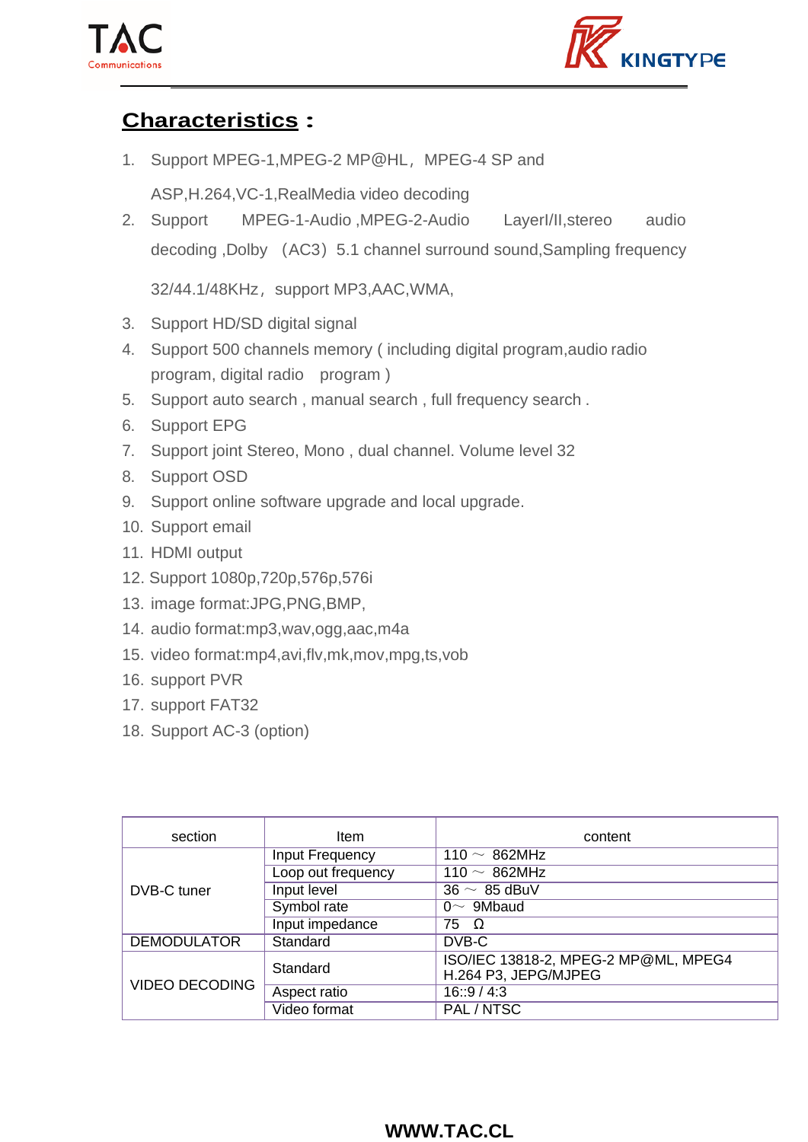



## **Characteristics :**

1. Support MPEG-1, MPEG-2 MP@HL, MPEG-4 SP and

ASP,H.264,VC-1,RealMedia video decoding

2. Support MPEG-1-Audio ,MPEG-2-Audio LayerI/II,stereo audio decoding ,Dolby (AC3) 5.1 channel surround sound, Sampling frequency

32/44.1/48KHz, support MP3,AAC, WMA,

- 3. Support HD/SD digital signal
- 4. Support 500 channels memory ( including digital program,audio radio program, digital radio program )
- 5. Support auto search , manual search , full frequency search .
- 6. Support EPG
- 7. Support joint Stereo, Mono , dual channel. Volume level 32
- 8. Support OSD
- 9. Support online software upgrade and local upgrade.
- 10. Support email
- 11. HDMI output
- 12. Support 1080p,720p,576p,576i
- 13. image format:JPG,PNG,BMP,
- 14. audio format:mp3,wav,ogg,aac,m4a
- 15. video format:mp4,avi,flv,mk,mov,mpg,ts,vob
- 16. support PVR
- 17. support FAT32
- 18. Support AC-3 (option)

| section               | Item                   | content                                                      |
|-----------------------|------------------------|--------------------------------------------------------------|
| DVB-C tuner           | <b>Input Frequency</b> | 110 $\sim$ 862MHz                                            |
|                       | Loop out frequency     | 110 $\sim$ 862MHz                                            |
|                       | Input level            | $36 \sim 85$ dBuV                                            |
|                       | Symbol rate            | $0~\sim~9$ Mbaud                                             |
|                       | Input impedance        | 75 Ω                                                         |
| <b>DEMODULATOR</b>    | Standard               | DVB-C                                                        |
| <b>VIDEO DECODING</b> | Standard               | ISO/IEC 13818-2, MPEG-2 MP@ML, MPEG4<br>H.264 P3, JEPG/MJPEG |
|                       | Aspect ratio           | 16::9/4:3                                                    |
|                       | Video format           | PAL / NTSC                                                   |

## **WWW.TAC.CL**